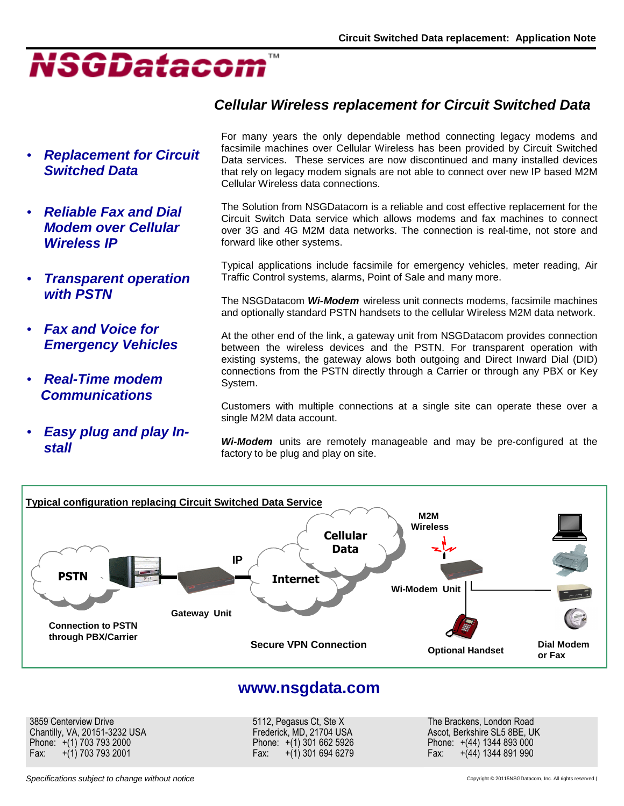

### • **Replacement for Circuit Switched Data**

- **Reliable Fax and Dial Modem over Cellular Wireless IP**
- **Transparent operation with PSTN**
- **Fax and Voice for Emergency Vehicles**
- **Real-Time modem Communications**
- **Easy plug and play Install**

## **Cellular Wireless replacement for Circuit Switched Data**

For many years the only dependable method connecting legacy modems and facsimile machines over Cellular Wireless has been provided by Circuit Switched Data services. These services are now discontinued and many installed devices that rely on legacy modem signals are not able to connect over new IP based M2M Cellular Wireless data connections.

The Solution from NSGDatacom is a reliable and cost effective replacement for the Circuit Switch Data service which allows modems and fax machines to connect over 3G and 4G M2M data networks. The connection is real-time, not store and forward like other systems.

Typical applications include facsimile for emergency vehicles, meter reading, Air Traffic Control systems, alarms, Point of Sale and many more.

The NSGDatacom **Wi-Modem** wireless unit connects modems, facsimile machines and optionally standard PSTN handsets to the cellular Wireless M2M data network.

At the other end of the link, a gateway unit from NSGDatacom provides connection between the wireless devices and the PSTN. For transparent operation with existing systems, the gateway alows both outgoing and Direct Inward Dial (DID) connections from the PSTN directly through a Carrier or through any PBX or Key System.

Customers with multiple connections at a single site can operate these over a single M2M data account.

**Wi-Modem** units are remotely manageable and may be pre-configured at the factory to be plug and play on site.



## **www.nsgdata.com**

3859 Centerview Drive Chantilly, VA, 20151-3232 USA Phone: +(1) 703 793 2000 Fax: +(1) 703 793 2001

5112, Pegasus Ct, Ste X Frederick, MD, 21704 USA Phone: +(1) 301 662 5926 Fax:  $+(1)$  301 694 6279 The Brackens, London Road Ascot, Berkshire SL5 8BE, UK Phone: +(44) 1344 893 000 Fax: +(44) 1344 891 990